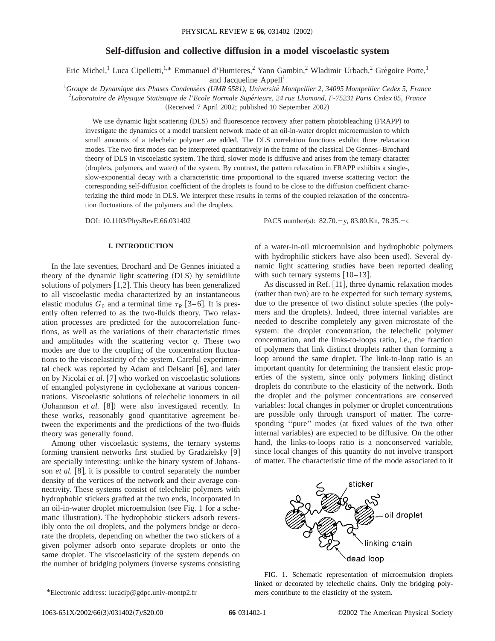# **Self-diffusion and collective diffusion in a model viscoelastic system**

Eric Michel,<sup>1</sup> Luca Cipelletti,<sup>1,\*</sup> Emmanuel d'Humieres,<sup>2</sup> Yann Gambin,<sup>2</sup> Wladimir Urbach,<sup>2</sup> Grégoire Porte,<sup>1</sup>

and Jacqueline  $Appell<sup>1</sup>$ 

<sup>1</sup>Groupe de Dynamique des Phases Condensées (UMR 5581), Université Montpellier 2, 34095 Montpellier Cedex 5, France

<sup>2</sup>Laboratoire de Physique Statistique de l'Ecole Normale Supérieure, 24 rue Lhomond, F-75231 Paris Cedex 05, France

(Received 7 April 2002; published 10 September 2002)

We use dynamic light scattering (DLS) and fluorescence recovery after pattern photobleaching (FRAPP) to investigate the dynamics of a model transient network made of an oil-in-water droplet microemulsion to which small amounts of a telechelic polymer are added. The DLS correlation functions exhibit three relaxation modes. The two first modes can be interpreted quantitatively in the frame of the classical De Gennes–Brochard theory of DLS in viscoelastic system. The third, slower mode is diffusive and arises from the ternary character (droplets, polymers, and water) of the system. By contrast, the pattern relaxation in FRAPP exhibits a single-, slow-exponential decay with a characteristic time proportional to the squared inverse scattering vector: the corresponding self-diffusion coefficient of the droplets is found to be close to the diffusion coefficient characterizing the third mode in DLS. We interpret these results in terms of the coupled relaxation of the concentration fluctuations of the polymers and the droplets.

DOI: 10.1103/PhysRevE.66.031402 PACS number(s): 82.70.-y, 83.80.Kn, 78.35.+c

# **I. INTRODUCTION**

In the late seventies, Brochard and De Gennes initiated a theory of the dynamic light scattering (DLS) by semidilute solutions of polymers  $[1,2]$ . This theory has been generalized to all viscoelastic media characterized by an instantaneous elastic modulus  $G_0$  and a terminal time  $\tau_R$  [3–6]. It is presently often referred to as the two-fluids theory. Two relaxation processes are predicted for the autocorrelation functions, as well as the variations of their characteristic times and amplitudes with the scattering vector *q*. These two modes are due to the coupling of the concentration fluctuations to the viscoelasticity of the system. Careful experimental check was reported by Adam and Delsanti  $[6]$ , and later on by Nicolai *et al.* [7] who worked on viscoelastic solutions of entangled polystyrene in cyclohexane at various concentrations. Viscoelastic solutions of telechelic ionomers in oil (Johannson *et al.* [8]) were also investigated recently. In these works, reasonably good quantitative agreement between the experiments and the predictions of the two-fluids theory was generally found.

Among other viscoelastic systems, the ternary systems forming transient networks first studied by Gradzielsky  $[9]$ are specially interesting: unlike the binary system of Johansson *et al.* [8], it is possible to control separately the number density of the vertices of the network and their average connectivity. These systems consist of telechelic polymers with hydrophobic stickers grafted at the two ends, incorporated in an oil-in-water droplet microemulsion (see Fig. 1 for a schematic illustration). The hydrophobic stickers adsorb reversibly onto the oil droplets, and the polymers bridge or decorate the droplets, depending on whether the two stickers of a given polymer adsorb onto separate droplets or onto the same droplet. The viscoelasticity of the system depends on the number of bridging polymers (inverse systems consisting of a water-in-oil microemulsion and hydrophobic polymers with hydrophilic stickers have also been used). Several dynamic light scattering studies have been reported dealing with such ternary systems  $[10-13]$ .

As discussed in Ref. [11], three dynamic relaxation modes (rather than two) are to be expected for such ternary systems, due to the presence of two distinct solute species (the polymers and the droplets). Indeed, three internal variables are needed to describe completely any given microstate of the system: the droplet concentration, the telechelic polymer concentration, and the links-to-loops ratio, i.e., the fraction of polymers that link distinct droplets rather than forming a loop around the same droplet. The link-to-loop ratio is an important quantity for determining the transient elastic properties of the system, since only polymers linking distinct droplets do contribute to the elasticity of the network. Both the droplet and the polymer concentrations are conserved variables: local changes in polymer or droplet concentrations are possible only through transport of matter. The corresponding "pure" modes (at fixed values of the two other internal variables) are expected to be diffusive. On the other hand, the links-to-loops ratio is a nonconserved variable, since local changes of this quantity do not involve transport of matter. The characteristic time of the mode associated to it



FIG. 1. Schematic representation of microemulsion droplets linked or decorated by telechelic chains. Only the bridging polymers contribute to the elasticity of the system.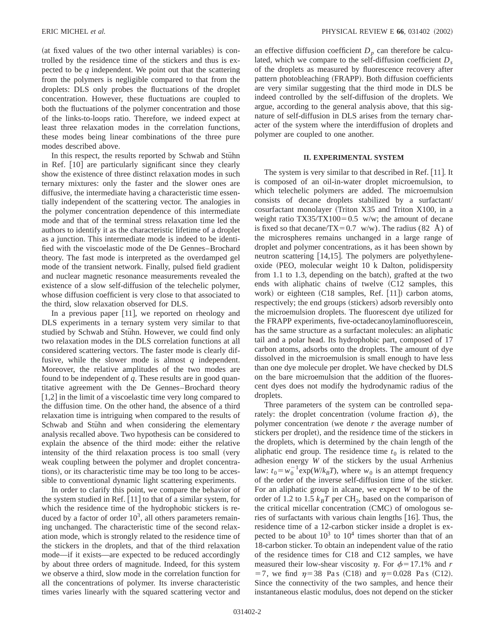(at fixed values of the two other internal variables) is controlled by the residence time of the stickers and thus is expected to be *q* independent. We point out that the scattering from the polymers is negligible compared to that from the droplets: DLS only probes the fluctuations of the droplet concentration. However, these fluctuations are coupled to both the fluctuations of the polymer concentration and those of the links-to-loops ratio. Therefore, we indeed expect at least three relaxation modes in the correlation functions, these modes being linear combinations of the three pure modes described above.

In this respect, the results reported by Schwab and Stühn in Ref. [10] are particularly significant since they clearly show the existence of three distinct relaxation modes in such ternary mixtures: only the faster and the slower ones are diffusive, the intermediate having a characteristic time essentially independent of the scattering vector. The analogies in the polymer concentration dependence of this intermediate mode and that of the terminal stress relaxation time led the authors to identify it as the characteristic lifetime of a droplet as a junction. This intermediate mode is indeed to be identified with the viscoelastic mode of the De Gennes–Brochard theory. The fast mode is interpreted as the overdamped gel mode of the transient network. Finally, pulsed field gradient and nuclear magnetic resonance measurements revealed the existence of a slow self-diffusion of the telechelic polymer, whose diffusion coefficient is very close to that associated to the third, slow relaxation observed for DLS.

In a previous paper  $|11|$ , we reported on rheology and DLS experiments in a ternary system very similar to that studied by Schwab and Stühn. However, we could find only two relaxation modes in the DLS correlation functions at all considered scattering vectors. The faster mode is clearly diffusive, while the slower mode is almost *q* independent. Moreover, the relative amplitudes of the two modes are found to be independent of *q*. These results are in good quantitative agreement with the De Gennes–Brochard theory  $[1,2]$  in the limit of a viscoelastic time very long compared to the diffusion time. On the other hand, the absence of a third relaxation time is intriguing when compared to the results of Schwab and Stühn and when considering the elementary analysis recalled above. Two hypothesis can be considered to explain the absence of the third mode: either the relative intensity of the third relaxation process is too small (very weak coupling between the polymer and droplet concentrations), or its characteristic time may be too long to be accessible to conventional dynamic light scattering experiments.

In order to clarify this point, we compare the behavior of the system studied in Ref.  $[11]$  to that of a similar system, for which the residence time of the hydrophobic stickers is reduced by a factor of order  $10<sup>3</sup>$ , all others parameters remaining unchanged. The characteristic time of the second relaxation mode, which is strongly related to the residence time of the stickers in the droplets, and that of the third relaxation mode—if it exists—are expected to be reduced accordingly by about three orders of magnitude. Indeed, for this system we observe a third, slow mode in the correlation function for all the concentrations of polymer. Its inverse characteristic times varies linearly with the squared scattering vector and

an effective diffusion coefficient  $D_p$  can therefore be calculated, which we compare to the self-diffusion coefficient  $D_s$ of the droplets as measured by fluorescence recovery after pattern photobleaching (FRAPP). Both diffusion coefficients are very similar suggesting that the third mode in DLS be indeed controlled by the self-diffusion of the droplets. We argue, according to the general analysis above, that this signature of self-diffusion in DLS arises from the ternary character of the system where the interdiffusion of droplets and polymer are coupled to one another.

### **II. EXPERIMENTAL SYSTEM**

The system is very similar to that described in Ref.  $[11]$ . It is composed of an oil-in-water droplet microemulsion, to which telechelic polymers are added. The microemulsion consists of decane droplets stabilized by a surfactant/  $cosurfactant$  monolayer (Triton X35 and Triton X100, in a weight ratio  $TX35/TX100=0.5$  w/w; the amount of decane is fixed so that decane/TX=0.7 w/w). The radius (82 Å) of the microspheres remains unchanged in a large range of droplet and polymer concentrations, as it has been shown by neutron scattering  $[14,15]$ . The polymers are polyethyleneoxide (PEO, molecular weight 10 k Dalton, polidispersity from 1.1 to 1.3, depending on the batch), grafted at the two ends with aliphatic chains of twelve  $(C12$  samples, this work) or eighteen (C18 samples, Ref. [11]) carbon atoms, respectively; the end groups (stickers) adsorb reversibly onto the microemulsion droplets. The fluorescent dye utilized for the FRAPP experiments, five-octadecanoylaminofluorescein, has the same structure as a surfactant molecules: an aliphatic tail and a polar head. Its hydrophobic part, composed of 17 carbon atoms, adsorbs onto the droplets. The amount of dye dissolved in the microemulsion is small enough to have less than one dye molecule per droplet. We have checked by DLS on the bare microemulsion that the addition of the fluorescent dyes does not modify the hydrodynamic radius of the droplets.

Three parameters of the system can be controlled separately: the droplet concentration (volume fraction  $\phi$ ), the polymer concentration (we denote  $r$  the average number of stickers per droplet), and the residence time of the stickers in the droplets, which is determined by the chain length of the aliphatic end group. The residence time  $t_0$  is related to the adhesion energy *W* of the stickers by the usual Arrhenius law:  $t_0 = w_0^{-1} \exp(W/k_B T)$ , where  $w_0$  is an attempt frequency of the order of the inverse self-diffusion time of the sticker. For an aliphatic group in alcane, we expect *W* to be of the order of 1.2 to 1.5  $k_BT$  per CH<sub>2</sub>, based on the comparison of the critical micellar concentration  $(CMC)$  of omologous series of surfactants with various chain lengths  $[16]$ . Thus, the residence time of a 12-carbon sticker inside a droplet is expected to be about  $10^3$  to  $10^4$  times shorter than that of an 18-carbon sticker. To obtain an independent value of the ratio of the residence times for C18 and C12 samples, we have measured their low-shear viscosity  $\eta$ . For  $\phi$ =17.1% and *r*  $=$  7, we find  $\eta=38$  Pas (C18) and  $\eta=0.028$  Pas (C12). Since the connectivity of the two samples, and hence their instantaneous elastic modulus, does not depend on the sticker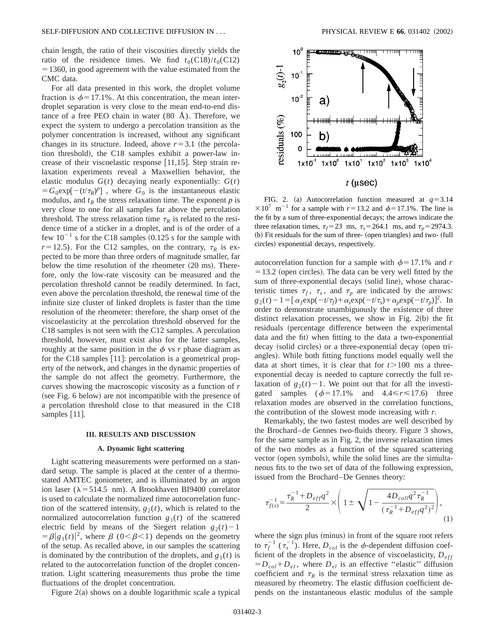chain length, the ratio of their viscosities directly yields the ratio of the residence times. We find  $t_0(C18)/t_0(C12)$  $=1360$ , in good agreement with the value estimated from the CMC data.

For all data presented in this work, the droplet volume fraction is  $\phi$ =17.1%. At this concentration, the mean interdroplet separation is very close to the mean end-to-end distance of a free PEO chain in water  $(80 \text{ Å})$ . Therefore, we expect the system to undergo a percolation transition as the polymer concentration is increased, without any significant changes in its structure. Indeed, above  $r=3.1$  (the percolation threshold), the C18 samples exhibit a power-law increase of their viscoelastic response  $[11,15]$ . Step strain relaxation experiments reveal a Maxwellien behavior, the elastic modulus  $G(t)$  decaying nearly exponentially:  $G(t)$  $=G_0 \exp[-(t/\tau_R)^p]$ , where  $G_0$  is the instantaneous elastic modulus, and  $t_R$  the stress relaxation time. The exponent  $p$  is very close to one for all samples far above the percolation threshold. The stress relaxation time  $\tau_R$  is related to the residence time of a sticker in a droplet, and is of the order of a few  $10^{-1}$  s for the C18 samples (0.125 s for the sample with  $r=12.5$ ). For the C12 samples, on the contrary,  $\tau_R$  is expected to be more than three orders of magnitude smaller, far below the time resolution of the rheometer  $(20 \text{ ms})$ . Therefore, only the low-rate viscosity can be measured and the percolation threshold cannot be readily determined. In fact, even above the percolation threshold, the renewal time of the infinite size cluster of linked droplets is faster than the time resolution of the rheometer: therefore, the sharp onset of the viscoelasticity at the percolation threshold observed for the C18 samples is not seen with the C12 samples. A percolation threshold, however, must exist also for the latter samples, roughly at the same position in the  $\phi$  vs *r* phase diagram as for the C18 samples  $[11]$ : percolation is a geometrical property of the network, and changes in the dynamic properties of the sample do not affect the geometry. Furthermore, the curves showing the macroscopic viscosity as a function of *r* (see Fig. 6 below) are not incompatible with the presence of a percolation threshold close to that measured in the C18 samples  $[11]$ .

#### **III. RESULTS AND DISCUSSION**

# **A. Dynamic light scattering**

Light scattering measurements were performed on a standard setup. The sample is placed at the center of a thermostated AMTEC goniometer, and is illuminated by an argon ion laser ( $\lambda$ =514.5 nm). A Brookhaven BI9400 correlator is used to calculate the normalized time autocorrelation function of the scattered intensity,  $g_2(t)$ , which is related to the normalized autocorrelation function  $g_1(t)$  of the scattered electric field by means of the Siegert relation  $g_2(t)-1$  $= \beta |g_1(t)|^2$ , where  $\beta$  (0< $\beta$ <1) depends on the geometry of the setup. As recalled above, in our samples the scattering is dominated by the contribution of the droplets, and  $g_1(t)$  is related to the autocorrelation function of the droplet concentration. Light scattering measurements thus probe the time fluctuations of the droplet concentration.



FIG. 2. (a) Autocorrelation function measured at  $q=3.14$  $\times 10^7$  m<sup>-1</sup> for a sample with  $r=13.2$  and  $\phi=17.1\%$ . The line is the fit by a sum of three-exponential decays; the arrows indicate the three relaxation times,  $\tau_f = 23$  ms,  $\tau_s = 264.1$  ms, and  $\tau_p = 2974.3$ . (b) Fit residuals for the sum of three- (open triangles) and two- (full circles) exponential decays, respectively.

autocorrelation function for a sample with  $\phi$ =17.1% and *r*  $=13.2$  (open circles). The data can be very well fitted by the sum of three-exponential decays (solid line), whose characteristic times  $\tau_f$ ,  $\tau_s$ , and  $\tau_p$  are indicated by the arrows:  $g_2(t) - 1 = [\alpha_f \exp(-t/\tau_f) + \alpha_s \exp(-t/\tau_s) + \alpha_p \exp(-t/\tau_p)]^2$ . In order to demonstrate unambiguously the existence of three distinct relaxation processes, we show in Fig.  $2(b)$  the fit residuals (percentage difference between the experimental data and the fit) when fitting to the data a two-exponential decay (solid circles) or a three-exponential decay (open triangles). While both fitting functions model equally well the data at short times, it is clear that for  $t > 100$  ms a threeexponential decay is needed to capture correctly the full relaxation of  $g_2(t)-1$ . We point out that for all the investigated samples  $(\phi=17.1\%$  and  $4.4 \le r \le 17.6$ ) three relaxation modes are observed in the correlation functions, the contribution of the slowest mode increasing with *r*.

Remarkably, the two fastest modes are well described by the Brochard–de Gennes two-fluids theory. Figure 3 shows, for the same sample as in Fig. 2, the inverse relaxation times of the two modes as a function of the squared scattering vector (open symbols), while the solid lines are the simultaneous fits to the two set of data of the following expression, issued from the Brochard–De Gennes theory:

$$
\tau_{f(s)}^{-1} = \frac{\tau_R^{-1} + D_{eff}q^2}{2} \times \left(1 \pm \sqrt{1 - \frac{4D_{coll}q^2 \tau_R^{-1}}{(\tau_R^{-1} + D_{eff}q^2)^2}}\right),\tag{1}
$$

where the sign plus (minus) in front of the square root refers to  $\tau_f^{-1}$  ( $\tau_s^{-1}$ ). Here,  $D_{col}$  is the  $\phi$ -dependent diffusion coefficient of the droplets in the absence of viscoelasticity,  $D_{eff}$  $= D_{col} + D_{el}$ , where  $D_{el}$  is an effective "elastic" diffusion coefficient and  $\tau_R$  is the terminal stress relaxation time as measured by rheometry. The elastic diffusion coefficient depends on the instantaneous elastic modulus of the sample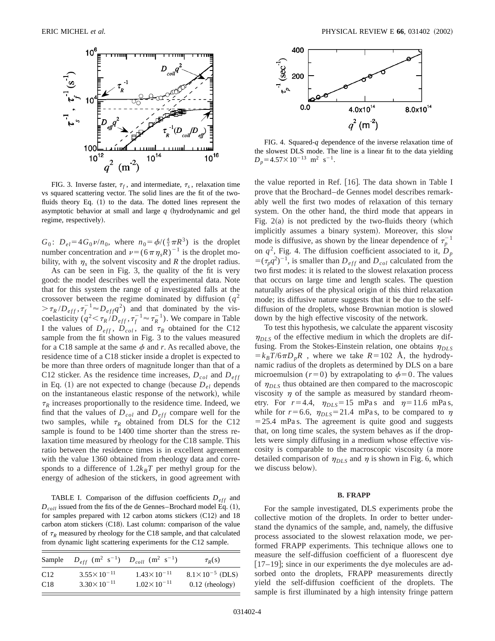

FIG. 3. Inverse faster,  $\tau_f$ , and intermediate,  $\tau_s$ , relaxation time vs squared scattering vector. The solid lines are the fit of the twofluids theory Eq.  $(1)$  to the data. The dotted lines represent the asymptotic behavior at small and large  $q$  (hydrodynamic and gel regime, respectively).

*G*<sub>0</sub>:  $D_{el} = 4G_0 \nu/n_0$ , where  $n_0 = \phi/(\frac{4}{3}\pi R^3)$  is the droplet number concentration and  $v = (6\pi \eta_s R)^{-1}$  is the droplet mobility, with  $\eta_s$  the solvent viscosity and *R* the droplet radius.

As can be seen in Fig. 3, the quality of the fit is very good: the model describes well the experimental data. Note that for this system the range of *q* investigated falls at the crossover between the regime dominated by diffusion  $(q^2)$  $> \tau_R / D_{eff}$ ,  $\tau_f^{-1} \approx D_{eff}q^2$  and that dominated by the viscoelasticity  $(q^2 < \tau_R/D_{eff}, \tau_f^{-1} \approx \tau_R^{-1})$ . We compare in Table I the values of  $D_{eff}$ ,  $D_{col}$ , and  $\tau_R$  obtained for the C12 sample from the fit shown in Fig. 3 to the values measured for a C18 sample at the same  $\phi$  and *r*. As recalled above, the residence time of a C18 sticker inside a droplet is expected to be more than three orders of magnitude longer than that of a C12 sticker. As the residence time increases,  $D_{col}$  and  $D_{eff}$ in Eq.  $(1)$  are not expected to change (because  $D_{el}$  depends on the instantaneous elastic response of the network), while  $\tau_R$  increases proportionally to the residence time. Indeed, we find that the values of  $D_{col}$  and  $D_{eff}$  compare well for the two samples, while  $\tau_R$  obtained from DLS for the C12 sample is found to be 1400 time shorter than the stress relaxation time measured by rheology for the C18 sample. This ratio between the residence times is in excellent agreement with the value 1360 obtained from rheology data and corresponds to a difference of  $1.2k_BT$  per methyl group for the energy of adhesion of the stickers, in good agreement with

TABLE I. Comparison of the diffusion coefficients *Deff* and  $D_{coll}$  issued from the fits of the de Gennes–Brochard model Eq.  $(1)$ , for samples prepared with 12 carbon atoms stickers  $(C12)$  and 18 carbon atom stickers  $(C18)$ . Last column: comparison of the value of  $\tau_R$  measured by rheology for the C18 sample, and that calculated from dynamic light scattering experiments for the C12 sample.

|                 | Sample $D_{eff}$ (m <sup>2</sup> s <sup>-1</sup> ) $D_{coll}$ (m <sup>2</sup> s <sup>-1</sup> ) |                        | $\tau_R(s)$                |
|-----------------|-------------------------------------------------------------------------------------------------|------------------------|----------------------------|
| C12             | $3.55 \times 10^{-11}$                                                                          | $1.43 \times 10^{-11}$ | $8.1 \times 10^{-5}$ (DLS) |
| C <sub>18</sub> | $3.30\times10^{-11}$                                                                            | $1.02\times10^{-11}$   | $0.12$ (rheology)          |



FIG. 4. Squared-*q* dependence of the inverse relaxation time of the slowest DLS mode. The line is a linear fit to the data yielding  $D_p = 4.57 \times 10^{-13}$  m<sup>2</sup> s<sup>-1</sup>.

the value reported in Ref.  $[16]$ . The data shown in Table I prove that the Brochard–de Gennes model describes remarkably well the first two modes of relaxation of this ternary system. On the other hand, the third mode that appears in Fig.  $2(a)$  is not predicted by the two-fluids theory (which implicitly assumes a binary system). Moreover, this slow mode is diffusive, as shown by the linear dependence of  $\tau_p^{-1}$ on  $q^2$ , Fig. 4. The diffusion coefficient associated to it,  $D_p$  $=(\tau_p q^2)^{-1}$ , is smaller than  $D_{eff}$  and  $D_{col}$  calculated from the two first modes: it is related to the slowest relaxation process that occurs on large time and length scales. The question naturally arises of the physical origin of this third relaxation mode; its diffusive nature suggests that it be due to the selfdiffusion of the droplets, whose Brownian motion is slowed down by the high effective viscosity of the network.

To test this hypothesis, we calculate the apparent viscosity  $\eta_{DLS}$  of the effective medium in which the droplets are diffusing. From the Stokes-Einstein relation, one obtains  $\eta_{DLS}$  $=k_B T/6\pi D_p R$ , where we take  $R=102$  Å, the hydrodynamic radius of the droplets as determined by DLS on a bare microemulsion ( $r=0$ ) by extrapolating to  $\phi=0$ . The values of  $\eta_{DLS}$  thus obtained are then compared to the macroscopic viscosity  $\eta$  of the sample as measured by standard rheometry. For  $r=4.4$ ,  $\eta_{DLS}=15$  mPa s and  $\eta=11.6$  mPa s, while for  $r=6.6$ ,  $\eta_{DLS}=21.4$  mPa s, to be compared to  $\eta$  $=$  25.4 mPa s. The agreement is quite good and suggests that, on long time scales, the system behaves as if the droplets were simply diffusing in a medium whose effective viscosity is comparable to the macroscopic viscosity (a more detailed comparison of  $\eta_{DLS}$  and  $\eta$  is shown in Fig. 6, which we discuss below).

### **B. FRAPP**

For the sample investigated, DLS experiments probe the collective motion of the droplets. In order to better understand the dynamics of the sample, and, namely, the diffusive process associated to the slowest relaxation mode, we performed FRAPP experiments. This technique allows one to measure the self-diffusion coefficient of a fluorescent dye  $[17–19]$ ; since in our experiments the dye molecules are adsorbed onto the droplets, FRAPP measurements directly yield the self-diffusion coefficient of the droplets. The sample is first illuminated by a high intensity fringe pattern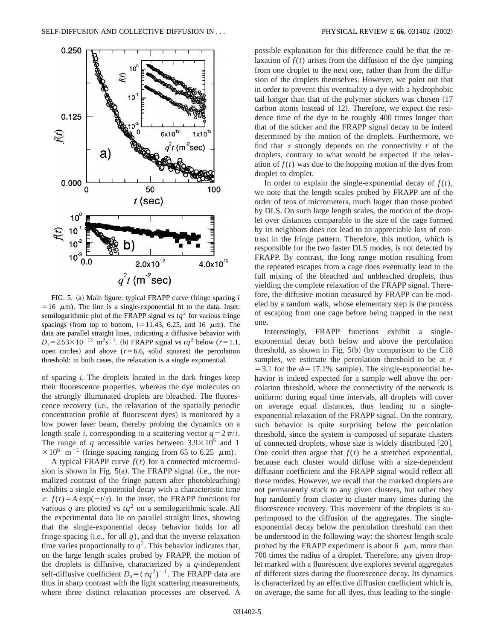

FIG. 5. (a) Main figure: typical FRAPP curve (fringe spacing *i*  $=16 \mu m$ ). The line is a single-exponential fit to the data. Inset: semilogarithmic plot of the FRAPP signal vs  $tq^2$  for various fringe spacings (from top to bottom,  $i=11.43$ , 6.25, and 16  $\mu$ m). The data are parallel straight lines, indicating a diffusive behavior with  $D_s = 2.53 \times 10^{-13}$  m<sup>2</sup>s<sup>-1</sup>. (b) FRAPP signal vs  $tq^2$  below (*r* = 1.1, open circles) and above  $(r=6.6, \text{ solid squares})$  the percolation threshold: in both cases, the relaxation is a single exponential.

of spacing *i*. The droplets located in the dark fringes keep their fluorescence properties, whereas the dye molecules on the strongly illuminated droplets are bleached. The fluorescence recovery (i.e., the relaxation of the spatially periodic concentration profile of fluorescent dyes) is monitored by a low power laser beam, thereby probing the dynamics on a length scale *i*, corresponding to a scattering vector  $q=2\pi/i$ . The range of *q* accessible varies between  $3.9 \times 10^5$  and 1  $\times 10^6$  m<sup>-1</sup> (fringe spacing ranging from 65 to 6.25  $\mu$ m).

A typical FRAPP curve  $f(t)$  for a connected microemulsion is shown in Fig.  $5(a)$ . The FRAPP signal (i.e., the normalized contrast of the fringe pattern after photobleaching) exhibits a single exponential decay with a characteristic time  $\tau$ :  $f(t) = A \exp(-t/\tau)$ . In the inset, the FRAPP functions for various *q* are plotted vs  $tq^2$  on a semilogarithmic scale. All the experimental data lie on parallel straight lines, showing that the single-exponential decay behavior holds for all fringe spacing  $(i.e.,$  for all  $q$ ), and that the inverse relaxation time varies proportionally to  $q^2$ . This behavior indicates that, on the large length scales probed by FRAPP, the motion of the droplets is diffusive, characterized by a *q*-independent self-diffusive coefficient  $D_s = (\tau q^2)^{-1}$ . The FRAPP data are thus in sharp contrast with the light scattering measurements, where three distinct relaxation processes are observed. A possible explanation for this difference could be that the relaxation of  $f(t)$  arises from the diffusion of the dye jumping from one droplet to the next one, rather than from the diffusion of the droplets themselves. However, we point out that in order to prevent this eventuality a dye with a hydrophobic tail longer than that of the polymer stickers was chosen  $(17)$ carbon atoms instead of 12). Therefore, we expect the residence time of the dye to be roughly 400 times longer than that of the sticker and the FRAPP signal decay to be indeed determined by the motion of the droplets. Furthermore, we find that  $\tau$  strongly depends on the connectivity  $r$  of the droplets, contrary to what would be expected if the relaxation of  $f(t)$  was due to the hopping motion of the dyes from droplet to droplet.

In order to explain the single-exponential decay of  $f(t)$ , we note that the length scales probed by FRAPP are of the order of tens of micrometers, much larger than those probed by DLS. On such large length scales, the motion of the droplet over distances comparable to the size of the cage formed by its neighbors does not lead to an appreciable loss of contrast in the fringe pattern. Therefore, this motion, which is responsible for the two faster DLS modes, is not detected by FRAPP. By contrast, the long range motion resulting from the repeated escapes from a cage does eventually lead to the full mixing of the bleached and unbleached droplets, thus yielding the complete relaxation of the FRAPP signal. Therefore, the diffusive motion measured by FRAPP can be modeled by a random walk, whose elementary step is the process of escaping from one cage before being trapped in the next one.

Interestingly, FRAPP functions exhibit a singleexponential decay both below and above the percolation threshold, as shown in Fig.  $5(b)$  (by comparison to the C18 samples, we estimate the percolation threshold to be at *r* = 3.1 for the  $\phi$ =17.1% sample). The single-exponential behavior is indeed expected for a sample well above the percolation threshold, where the connectivity of the network is uniform: during equal time intervals, all droplets will cover on average equal distances, thus leading to a singleexponential relaxation of the FRAPP signal. On the contrary, such behavior is quite surprising below the percolation threshold, since the system is composed of separate clusters of connected droplets, whose size is widely distributed  $[20]$ . One could then argue that  $f(t)$  be a stretched exponential, because each cluster would diffuse with a size-dependent diffusion coefficient and the FRAPP signal would reflect all these modes. However, we recall that the marked droplets are not permanently stuck to any given clusters, but rather they hop randomly from cluster to cluster many times during the fluorescence recovery. This movement of the droplets is superimposed to the diffusion of the aggregates. The singleexponential decay below the percolation threshold can then be understood in the following way: the shortest length scale probed by the FRAPP experiment is about 6  $\mu$ m, more than 700 times the radius of a droplet. Therefore, any given droplet marked with a fluorescent dye explores several aggregates of different sizes during the fluorescence decay. Its dynamics is characterized by an effective diffusion coefficient which is, on average, the same for all dyes, thus leading to the single-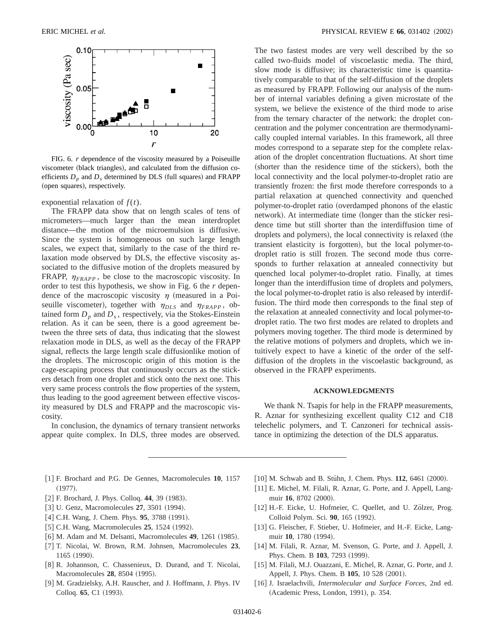

FIG. 6. *r* dependence of the viscosity measured by a Poiseuille viscometer (black triangles), and calculated from the diffusion coefficients  $D_p$  and  $D_s$  determined by DLS (full squares) and FRAPP (open squares), respectively.

exponential relaxation of *f*(*t*).

The FRAPP data show that on length scales of tens of micrometers—much larger than the mean interdroplet distance—the motion of the microemulsion is diffusive. Since the system is homogeneous on such large length scales, we expect that, similarly to the case of the third relaxation mode observed by DLS, the effective viscosity associated to the diffusive motion of the droplets measured by FRAPP,  $\eta_{FRAPP}$ , be close to the macroscopic viscosity. In order to test this hypothesis, we show in Fig. 6 the *r* dependence of the macroscopic viscosity  $\eta$  (measured in a Poiseuille viscometer), together with  $\eta_{DLS}$  and  $\eta_{FRAPP}$ , obtained form  $D_p$  and  $D_s$ , respectively, via the Stokes-Einstein relation. As it can be seen, there is a good agreement between the three sets of data, thus indicating that the slowest relaxation mode in DLS, as well as the decay of the FRAPP signal, reflects the large length scale diffusionlike motion of the droplets. The microscopic origin of this motion is the cage-escaping process that continuously occurs as the stickers detach from one droplet and stick onto the next one. This very same process controls the flow properties of the system, thus leading to the good agreement between effective viscosity measured by DLS and FRAPP and the macroscopic viscosity.

In conclusion, the dynamics of ternary transient networks appear quite complex. In DLS, three modes are observed. The two fastest modes are very well described by the so called two-fluids model of viscoelastic media. The third, slow mode is diffusive; its characteristic time is quantitatively comparable to that of the self-diffusion of the droplets as measured by FRAPP. Following our analysis of the number of internal variables defining a given microstate of the system, we believe the existence of the third mode to arise from the ternary character of the network: the droplet concentration and the polymer concentration are thermodynamically coupled internal variables. In this framework, all three modes correspond to a separate step for the complete relaxation of the droplet concentration fluctuations. At short time (shorter than the residence time of the stickers), both the local connectivity and the local polymer-to-droplet ratio are transiently frozen: the first mode therefore corresponds to a partial relaxation at quenched connectivity and quenched polymer-to-droplet ratio (overdamped phonons of the elastic network). At intermediate time (longer than the sticker residence time but still shorter than the interdiffusion time of droplets and polymers), the local connectivity is relaxed (the transient elasticity is forgotten), but the local polymer-todroplet ratio is still frozen. The second mode thus corresponds to further relaxation at annealed connectivity but quenched local polymer-to-droplet ratio. Finally, at times longer than the interdiffusion time of droplets and polymers, the local polymer-to-droplet ratio is also released by interdiffusion. The third mode then corresponds to the final step of the relaxation at annealed connectivity and local polymer-todroplet ratio. The two first modes are related to droplets and polymers moving together. The third mode is determined by the relative motions of polymers and droplets, which we intuitively expect to have a kinetic of the order of the selfdiffusion of the droplets in the viscoelastic background, as observed in the FRAPP experiments.

## **ACKNOWLEDGMENTS**

We thank N. Tsapis for help in the FRAPP measurements, R. Aznar for synthesizing excellent quality C12 and C18 telechelic polymers, and T. Canzoneri for technical assistance in optimizing the detection of the DLS apparatus.

- [1] F. Brochard and P.G. De Gennes, Macromolecules 10, 1157  $(1977).$
- $[2]$  F. Brochard, J. Phys. Colloq. **44**, 39  $(1983)$ .
- [3] U. Genz, Macromolecules **27**, 3501 (1994).
- [4] C.H. Wang, J. Chem. Phys. **95**, 3788 (1991).
- [5] C.H. Wang, Macromolecules **25**, 1524 (1992).
- [6] M. Adam and M. Delsanti, Macromolecules **49**, 1261 (1985).
- @7# T. Nicolai, W. Brown, R.M. Johnsen, Macromolecules **23**, 1165 (1990).
- [8] R. Johannson, C. Chassenieux, D. Durand, and T. Nicolai, Macromolecules **28**, 8504 (1995).
- [9] M. Gradzielsky, A.H. Rauscher, and J. Hoffmann, J. Phys. IV Colloq. **65**, C1 (1993).
- [10] M. Schwab and B. Stühn, J. Chem. Phys. 112, 6461 (2000).
- [11] E. Michel, M. Filali, R. Aznar, G. Porte, and J. Appell, Langmuir 16, 8702 (2000).
- [12] H.-F. Eicke, U. Hofmeier, C. Quellet, and U. Zölzer, Prog. Colloid Polym. Sci. 90, 165 (1992).
- [13] G. Fleischer, F. Stieber, U. Hofmeier, and H.-F. Eicke, Langmuir 10, 1780 (1994).
- [14] M. Filali, R. Aznar, M. Svenson, G. Porte, and J. Appell, J. Phys. Chem. B 103, 7293 (1999).
- [15] M. Filali, M.J. Ouazzani, E. Michel, R. Aznar, G. Porte, and J. Appell, J. Phys. Chem. B **105**, 10 528 (2001).
- [16] J. Israelachvili, *Intermolecular and Surface Forces*, 2nd ed. (Academic Press, London, 1991), p. 354.